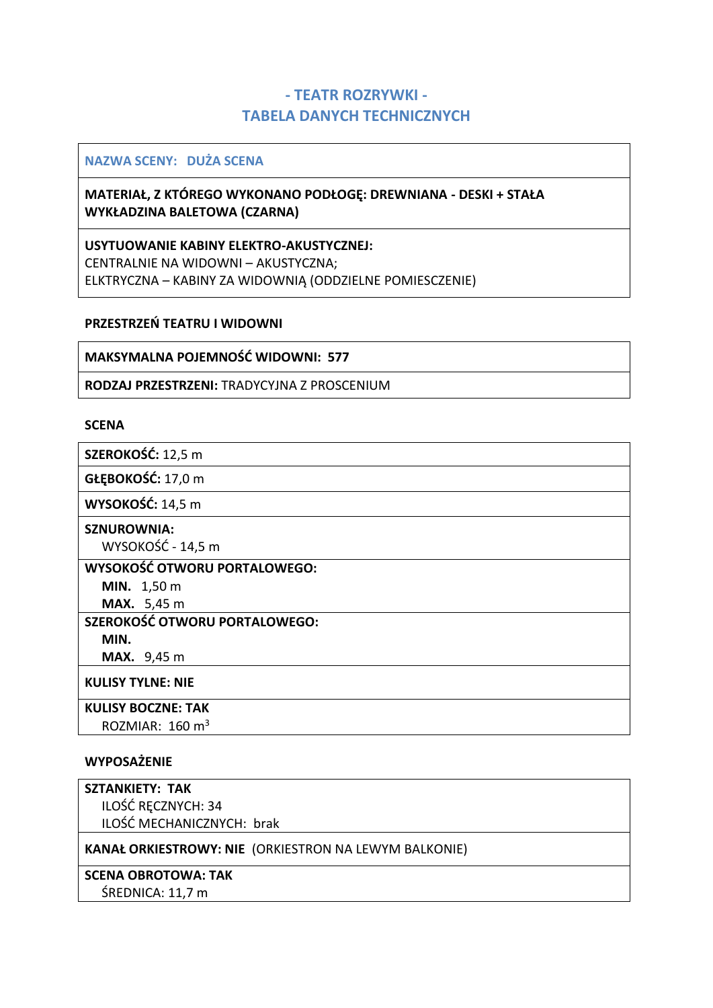# **- TEATR ROZRYWKI - TABELA DANYCH TECHNICZNYCH**

### **NAZWA SCENY: DUŻA SCENA**

## **MATERIAŁ, Z KTÓREGO WYKONANO PODŁOGĘ: DREWNIANA - DESKI + STAŁA WYKŁADZINA BALETOWA (CZARNA)**

**USYTUOWANIE KABINY ELEKTRO-AKUSTYCZNEJ:** CENTRALNIE NA WIDOWNI – AKUSTYCZNA; ELKTRYCZNA – KABINY ZA WIDOWNIĄ (ODDZIELNE POMIESCZENIE)

### **PRZESTRZEŃ TEATRU I WIDOWNI**

### **MAKSYMALNA POJEMNOŚĆ WIDOWNI: 577**

**RODZAJ PRZESTRZENI:** TRADYCYJNA Z PROSCENIUM

### **SCENA**

**SZEROKOŚĆ:** 12,5 m

**GŁĘBOKOŚĆ:** 17,0 m

**WYSOKOŚĆ:** 14,5 m

#### **SZNUROWNIA:**

WYSOKOŚĆ - 14,5 m

**WYSOKOŚĆ OTWORU PORTALOWEGO:**

**MIN.** 1,50 m **MAX.** 5,45 m

**SZEROKOŚĆ OTWORU PORTALOWEGO:**

**MIN.**

**MAX.** 9,45 m

**KULISY TYLNE: NIE** 

### **KULISY BOCZNE: TAK**

ROZMIAR:  $160 \text{ m}^3$ 

### **WYPOSAŻENIE**

| <b>SZTANKIETY: TAK</b>                                       |
|--------------------------------------------------------------|
| ILOŚĆ RĘCZNYCH: 34                                           |
| ILOŚĆ MECHANICZNYCH: brak                                    |
| <b>KANAŁ ORKIESTROWY: NIE (ORKIESTRON NA LEWYM BALKONIE)</b> |
| <b>SCENA OBROTOWA: TAK</b>                                   |
| ŚREDNICA: 11,7 m                                             |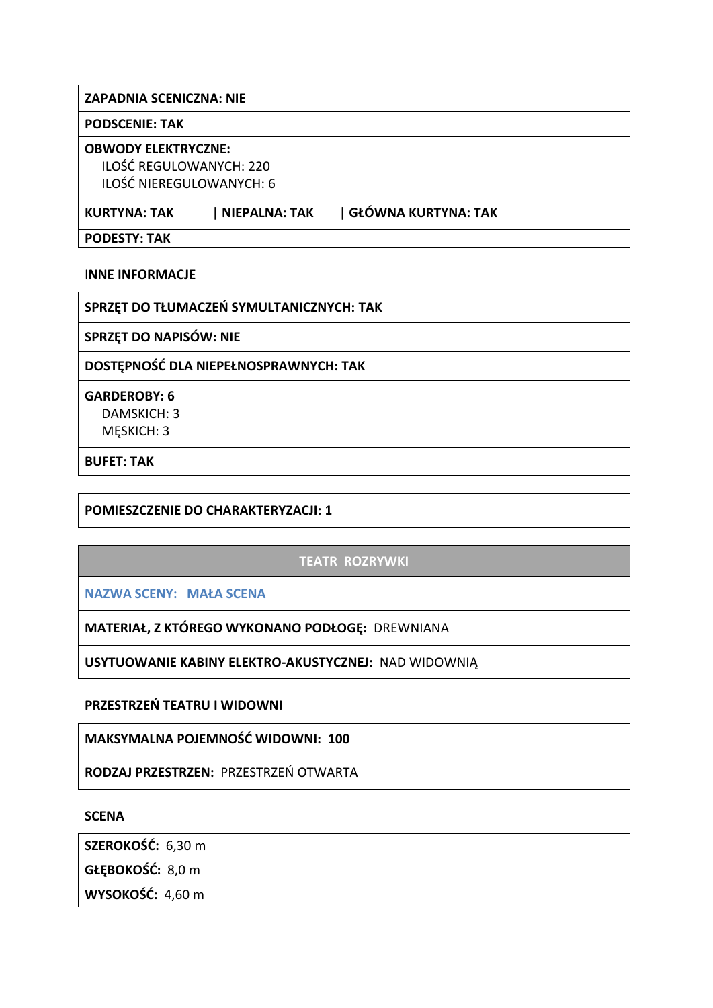### **ZAPADNIA SCENICZNA: NIE**

#### **PODSCENIE: TAK**

#### **OBWODY ELEKTRYCZNE:**

ILOŚĆ REGULOWANYCH: 220 ILOŚĆ NIEREGULOWANYCH: 6

**KURTYNA: TAK** | **NIEPALNA: TAK** | **GŁÓWNA KURTYNA: TAK**

**PODESTY: TAK**

I**NNE INFORMACJE**

**SPRZĘT DO TŁUMACZEŃ SYMULTANICZNYCH: TAK**

**SPRZĘT DO NAPISÓW: NIE**

**DOSTĘPNOŚĆ DLA NIEPEŁNOSPRAWNYCH: TAK**

**GARDEROBY: 6** DAMSKICH: 3 MĘSKICH: 3

**BUFET: TAK** 

**POMIESZCZENIE DO CHARAKTERYZACJI: 1**

## **TEATR ROZRYWKI**

**NAZWA SCENY: MAŁA SCENA**

**MATERIAŁ, Z KTÓREGO WYKONANO PODŁOGĘ:** DREWNIANA

**USYTUOWANIE KABINY ELEKTRO-AKUSTYCZNEJ:** NAD WIDOWNIĄ

**PRZESTRZEŃ TEATRU I WIDOWNI**

**MAKSYMALNA POJEMNOŚĆ WIDOWNI: 100**

**RODZAJ PRZESTRZEN:** PRZESTRZEŃ OTWARTA

**SCENA**

**SZEROKOŚĆ:** 6,30 m

**GŁĘBOKOŚĆ:** 8,0 m

**WYSOKOŚĆ:** 4,60 m